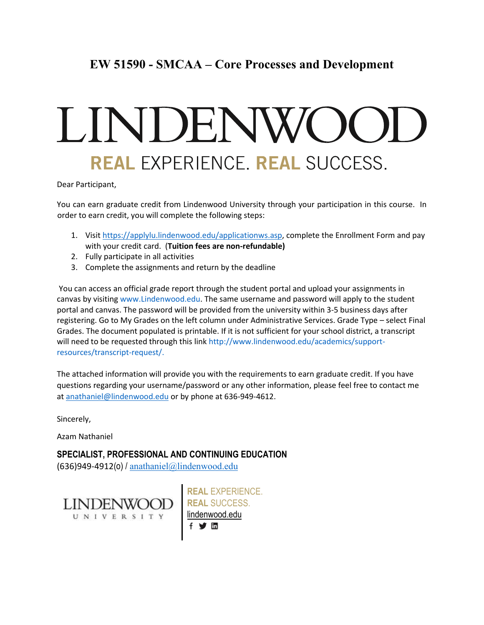# **EW 51590 - SMCAA – Core Processes and Development**

# LINDENWO REAL EXPERIENCE. REAL SUCCESS.

Dear Participant,

You can earn graduate credit from Lindenwood University through your participation in this course. In order to earn credit, you will complete the following steps:

- 1. Visit [https://applylu.lindenwood.edu/applicationws.asp,](https://applylu.lindenwood.edu/applicationws.asp) complete the Enrollment Form and pay with your credit card. (**Tuition fees are non-refundable)**
- 2. Fully participate in all activities
- 3. Complete the assignments and return by the deadline

You can access an official grade report through the student portal and upload your assignments in canvas by visiting www.Lindenwood.edu. The same username and password will apply to the student portal and canvas. The password will be provided from the university within 3-5 business days after registering. Go to My Grades on the left column under Administrative Services. Grade Type – select Final Grades. The document populated is printable. If it is not sufficient for your school district, a transcript will need to be requested through this link http://www.lindenwood.edu/academics/supportresources/transcript-request/.

The attached information will provide you with the requirements to earn graduate credit. If you have questions regarding your username/password or any other information, please feel free to contact me at [anathaniel@lindenwood.edu](mailto:anathaniel@lindenwood.edu) or by phone at 636-949-4612.

Sincerely,

Azam Nathaniel

**SPECIALIST, PROFESSIONAL AND CONTINUING EDUCATION**  $(636)949-4912(0)$  / [anathaniel@lindenwood.edu](mailto:anathaniel@lindenwood.edu)



**REAL** EXPERIENCE. **REAL** SUCCESS. [lindenwood.edu](https://www.lindenwood.edu/) f > 面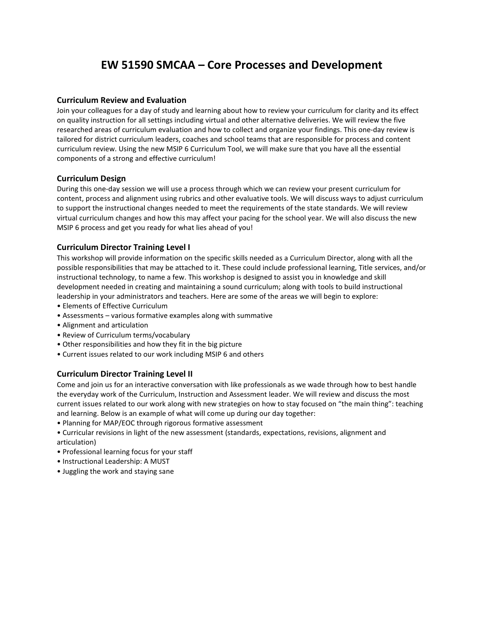# **EW 51590 SMCAA – Core Processes and Development**

# **Curriculum Review and Evaluation**

Join your colleagues for a day of study and learning about how to review your curriculum for clarity and its effect on quality instruction for all settings including virtual and other alternative deliveries. We will review the five researched areas of curriculum evaluation and how to collect and organize your findings. This one-day review is tailored for district curriculum leaders, coaches and school teams that are responsible for process and content curriculum review. Using the new MSIP 6 Curriculum Tool, we will make sure that you have all the essential components of a strong and effective curriculum!

#### **Curriculum Design**

During this one-day session we will use a process through which we can review your present curriculum for content, process and alignment using rubrics and other evaluative tools. We will discuss ways to adjust curriculum to support the instructional changes needed to meet the requirements of the state standards. We will review virtual curriculum changes and how this may affect your pacing for the school year. We will also discuss the new MSIP 6 process and get you ready for what lies ahead of you!

# **Curriculum Director Training Level I**

This workshop will provide information on the specific skills needed as a Curriculum Director, along with all the possible responsibilities that may be attached to it. These could include professional learning, Title services, and/or instructional technology, to name a few. This workshop is designed to assist you in knowledge and skill development needed in creating and maintaining a sound curriculum; along with tools to build instructional leadership in your administrators and teachers. Here are some of the areas we will begin to explore:

- Elements of Effective Curriculum
- Assessments various formative examples along with summative
- Alignment and articulation
- Review of Curriculum terms/vocabulary
- Other responsibilities and how they fit in the big picture
- Current issues related to our work including MSIP 6 and others

#### **Curriculum Director Training Level II**

Come and join us for an interactive conversation with like professionals as we wade through how to best handle the everyday work of the Curriculum, Instruction and Assessment leader. We will review and discuss the most current issues related to our work along with new strategies on how to stay focused on "the main thing": teaching and learning. Below is an example of what will come up during our day together:

- Planning for MAP/EOC through rigorous formative assessment
- Curricular revisions in light of the new assessment (standards, expectations, revisions, alignment and articulation)
- Professional learning focus for your staff
- Instructional Leadership: A MUST
- Juggling the work and staying sane